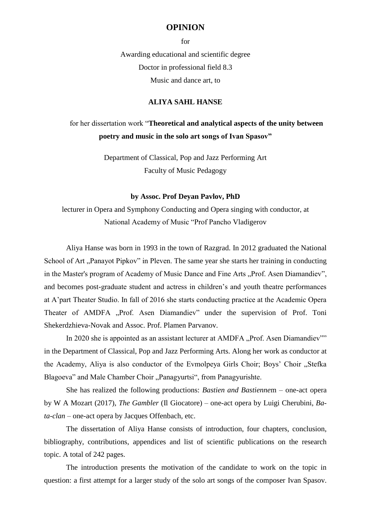## **OPINION**

for Awarding educational and scientific degree Doctor in professional field 8.3 Music and dance art, to

## **ALIYA SAHL HANSE**

## for her dissertation work "**Theoretical and analytical aspects of the unity between poetry and music in the solo art songs of Ivan Spasov"**

Department of Classical, Pop and Jazz Performing Art Faculty of Music Pedagogy

## **by Assoc. Prof Deyan Pavlov, PhD**

lecturer in Opera and Symphony Conducting and Opera singing with conductor, at National Academy of Music "Prof Pancho Vladigerov

Aliya Hanse was born in 1993 in the town of Razgrad. In 2012 graduated the National School of Art "Panayot Pipkov" in Pleven. The same year she starts her training in conducting in the Master's program of Academy of Music Dance and Fine Arts "Prof. Asen Diamandiev", and becomes post-graduate student and actress in children's and youth theatre performances at A'part Theater Studio. In fall of 2016 she starts conducting practice at the Academic Opera Theater of AMDFA ...Prof. Asen Diamandiev" under the supervision of Prof. Toni Shekerdzhieva-Novak and Assoc. Prof. Plamen Parvanov.

In 2020 she is appointed as an assistant lecturer at AMDFA "Prof. Asen Diamandiev"" in the Department of Classical, Pop and Jazz Performing Arts. Along her work as conductor at the Academy, Aliya is also conductor of the Evmolpeya Girls Choir; Boys' Choir "Stefka Blagoeva" and Male Chamber Choir "Panagyurtsi", from Panagyurishte.

She has realized the following productions: *Bastien and Bastienne*m – one-act opera by W A Mozart (2017), *The Gambler* (Il Giocatore) – one-act opera by Luigi Cherubini, *Bata-clan* – one-act opera by Jacques Offenbach, etc.

The dissertation of Aliya Hanse consists of introduction, four chapters, conclusion, bibliography, contributions, appendices and list of scientific publications on the research topic. A total of 242 pages.

The introduction presents the motivation of the candidate to work on the topic in question: a first attempt for a larger study of the solo art songs of the composer Ivan Spasov.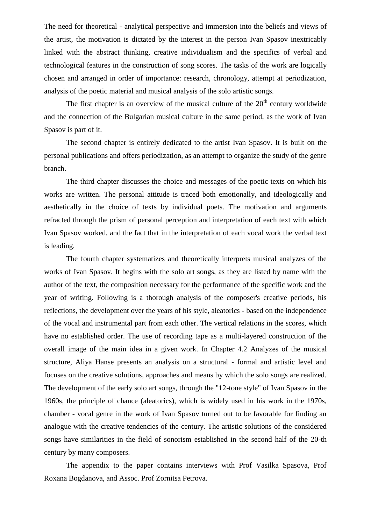The need for theoretical - analytical perspective and immersion into the beliefs and views of the artist, the motivation is dictated by the interest in the person Ivan Spasov inextricably linked with the abstract thinking, creative individualism and the specifics of verbal and technological features in the construction of song scores. The tasks of the work are logically chosen and arranged in order of importance: research, chronology, attempt at periodization, analysis of the poetic material and musical analysis of the solo artistic songs.

The first chapter is an overview of the musical culture of the  $20<sup>th</sup>$  century worldwide and the connection of the Bulgarian musical culture in the same period, as the work of Ivan Spasov is part of it.

The second chapter is entirely dedicated to the artist Ivan Spasov. It is built on the personal publications and offers periodization, as an attempt to organize the study of the genre branch.

The third chapter discusses the choice and messages of the poetic texts on which his works are written. The personal attitude is traced both emotionally, and ideologically and aesthetically in the choice of texts by individual poets. The motivation and arguments refracted through the prism of personal perception and interpretation of each text with which Ivan Spasov worked, and the fact that in the interpretation of each vocal work the verbal text is leading.

The fourth chapter systematizes and theoretically interprets musical analyzes of the works of Ivan Spasov. It begins with the solo art songs, as they are listed by name with the author of the text, the composition necessary for the performance of the specific work and the year of writing. Following is a thorough analysis of the composer's creative periods, his reflections, the development over the years of his style, aleatorics - based on the independence of the vocal and instrumental part from each other. The vertical relations in the scores, which have no established order. The use of recording tape as a multi-layered construction of the overall image of the main idea in a given work. In Chapter 4.2 Analyzes of the musical structure, Aliya Hanse presents an analysis on a structural - formal and artistic level and focuses on the creative solutions, approaches and means by which the solo songs are realized. The development of the early solo art songs, through the "12-tone style" of Ivan Spasov in the 1960s, the principle of chance (aleatorics), which is widely used in his work in the 1970s, chamber - vocal genre in the work of Ivan Spasov turned out to be favorable for finding an analogue with the creative tendencies of the century. The artistic solutions of the considered songs have similarities in the field of sonorism established in the second half of the 20-th century by many composers.

The appendix to the paper contains interviews with Prof Vasilka Spasova, Prof Roxana Bogdanova, and Assoc. Prof Zornitsa Petrova.